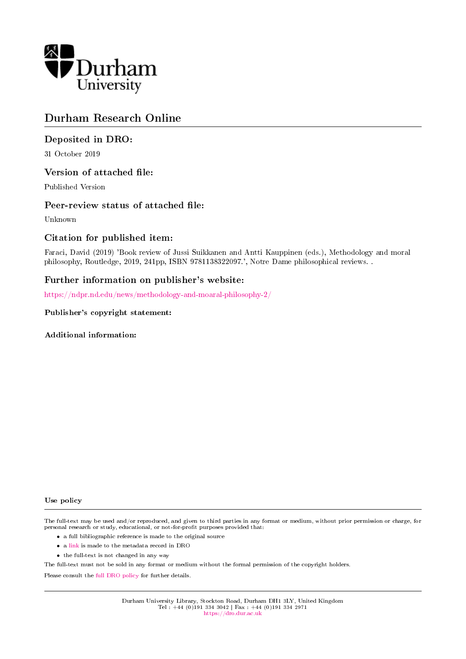

# Durham Research Online

## Deposited in DRO:

31 October 2019

#### Version of attached file:

Published Version

#### Peer-review status of attached file:

Unknown

## Citation for published item:

Faraci, David (2019) 'Book review of Jussi Suikkanen and Antti Kauppinen (eds.), Methodology and moral philosophy, Routledge, 2019, 241pp, ISBN 9781138322097.', Notre Dame philosophical reviews. .

## Further information on publisher's website:

<https://ndpr.nd.edu/news/methodology-and-moaral-philosophy-2/>

#### Publisher's copyright statement:

Additional information:

#### Use policy

The full-text may be used and/or reproduced, and given to third parties in any format or medium, without prior permission or charge, for personal research or study, educational, or not-for-profit purposes provided that:

- a full bibliographic reference is made to the original source
- a [link](http://dro.dur.ac.uk/29488/) is made to the metadata record in DRO
- the full-text is not changed in any way

The full-text must not be sold in any format or medium without the formal permission of the copyright holders.

Please consult the [full DRO policy](https://dro.dur.ac.uk/policies/usepolicy.pdf) for further details.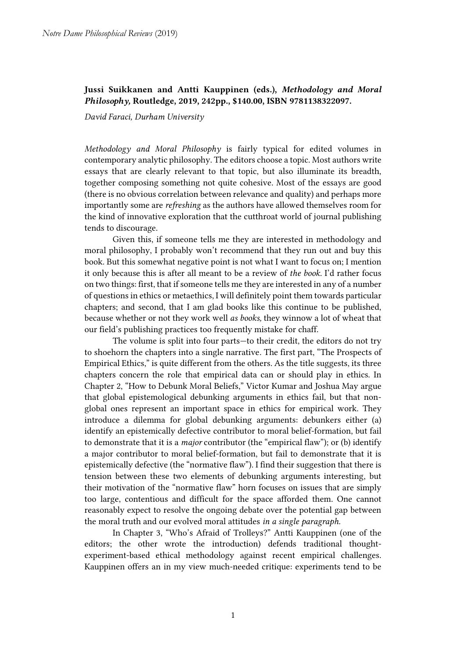# Jussi Suikkanen and Antti Kauppinen (eds.), *Methodology and Moral Philosophy,* Routledge, 2019, 242pp., \$140.00, ISBN 9781138322097.

*David Faraci, Durham University*

*Methodology and Moral Philosophy* is fairly typical for edited volumes in contemporary analytic philosophy. The editors choose a topic. Most authors write essays that are clearly relevant to that topic, but also illuminate its breadth, together composing something not quite cohesive. Most of the essays are good (there is no obvious correlation between relevance and quality) and perhaps more importantly some are *refreshing* as the authors have allowed themselves room for the kind of innovative exploration that the cutthroat world of journal publishing tends to discourage.

Given this, if someone tells me they are interested in methodology and moral philosophy, I probably won't recommend that they run out and buy this book. But this somewhat negative point is not what I want to focus on; I mention it only because this is after all meant to be a review of *the book.* I'd rather focus on two things: first, that if someone tells me they are interested in any of a number of questionsin ethics or metaethics, I will definitely point them towards particular chapters; and second, that I am glad books like this continue to be published, because whether or not they work well *as books,* they winnow a lot of wheat that our field's publishing practices too frequently mistake for chaff.

The volume is split into four parts—to their credit, the editors do not try to shoehorn the chapters into a single narrative. The first part, "The Prospects of Empirical Ethics," is quite different from the others. As the title suggests, its three chapters concern the role that empirical data can or should play in ethics. In Chapter 2, "How to Debunk Moral Beliefs," Victor Kumar and Joshua May argue that global epistemological debunking arguments in ethics fail, but that nonglobal ones represent an important space in ethics for empirical work. They introduce a dilemma for global debunking arguments: debunkers either (a) identify an epistemically defective contributor to moral belief-formation, but fail to demonstrate that it is a *major* contributor (the "empirical flaw"); or (b) identify a major contributor to moral belief-formation, but fail to demonstrate that it is epistemically defective (the "normative flaw"). I find their suggestion that there is tension between these two elements of debunking arguments interesting, but their motivation of the "normative flaw" horn focuses on issues that are simply too large, contentious and difficult for the space afforded them. One cannot reasonably expect to resolve the ongoing debate over the potential gap between the moral truth and our evolved moral attitudes *in a single paragraph.*

In Chapter 3, "Who's Afraid of Trolleys?" Antti Kauppinen (one of the editors; the other wrote the introduction) defends traditional thoughtexperiment-based ethical methodology against recent empirical challenges. Kauppinen offers an in my view much-needed critique: experiments tend to be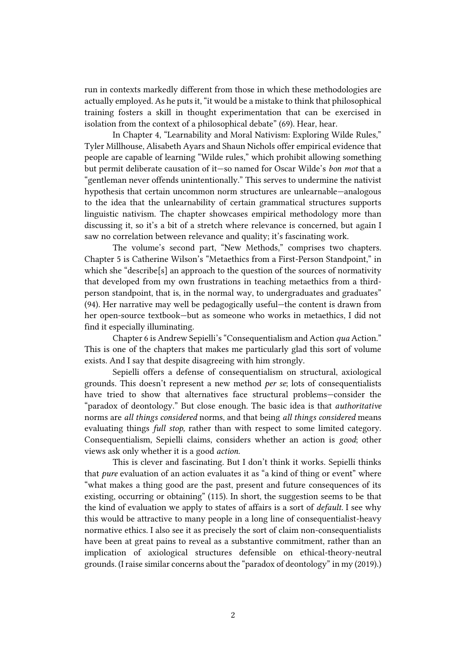run in contexts markedly different from those in which these methodologies are actually employed. As he puts it, "it would be a mistake to think that philosophical training fosters a skill in thought experimentation that can be exercised in isolation from the context of a philosophical debate" (69). Hear, hear.

In Chapter 4, "Learnability and Moral Nativism: Exploring Wilde Rules," Tyler Millhouse, Alisabeth Ayars and Shaun Nichols offer empirical evidence that people are capable of learning "Wilde rules," which prohibit allowing something but permit deliberate causation of it—so named for Oscar Wilde's *bon mot* that a "gentleman never offends unintentionally." This serves to undermine the nativist hypothesis that certain uncommon norm structures are unlearnable—analogous to the idea that the unlearnability of certain grammatical structures supports linguistic nativism. The chapter showcases empirical methodology more than discussing it, so it's a bit of a stretch where relevance is concerned, but again I saw no correlation between relevance and quality; it's fascinating work.

The volume's second part, "New Methods," comprises two chapters. Chapter 5 is Catherine Wilson's "Metaethics from a First-Person Standpoint," in which she "describe<sup>[s]</sup> an approach to the question of the sources of normativity that developed from my own frustrations in teaching metaethics from a thirdperson standpoint, that is, in the normal way, to undergraduates and graduates" (94). Her narrative may well be pedagogically useful—the content is drawn from her open-source textbook—but as someone who works in metaethics, I did not find it especially illuminating.

Chapter 6 is Andrew Sepielli's "Consequentialism and Action *qua* Action." This is one of the chapters that makes me particularly glad this sort of volume exists. And I say that despite disagreeing with him strongly.

Sepielli offers a defense of consequentialism on structural, axiological grounds. This doesn't represent a new method *per se*; lots of consequentialists have tried to show that alternatives face structural problems—consider the "paradox of deontology." But close enough. The basic idea is that *authoritative*  norms are *all things considered* norms, and that being *all things considered* means evaluating things *full stop,* rather than with respect to some limited category. Consequentialism, Sepielli claims, considers whether an action is *good*; other views ask only whether it is a good *action.*

This is clever and fascinating. But I don't think it works. Sepielli thinks that *pure* evaluation of an action evaluates it as "a kind of thing or event" where "what makes a thing good are the past, present and future consequences of its existing, occurring or obtaining" (115). In short, the suggestion seems to be that the kind of evaluation we apply to states of affairs is a sort of *default.* I see why this would be attractive to many people in a long line of consequentialist-heavy normative ethics. I also see it as precisely the sort of claim non-consequentialists have been at great pains to reveal as a substantive commitment, rather than an implication of axiological structures defensible on ethical-theory-neutral grounds. (I raise similar concerns about the "paradox of deontology" in my (2019).)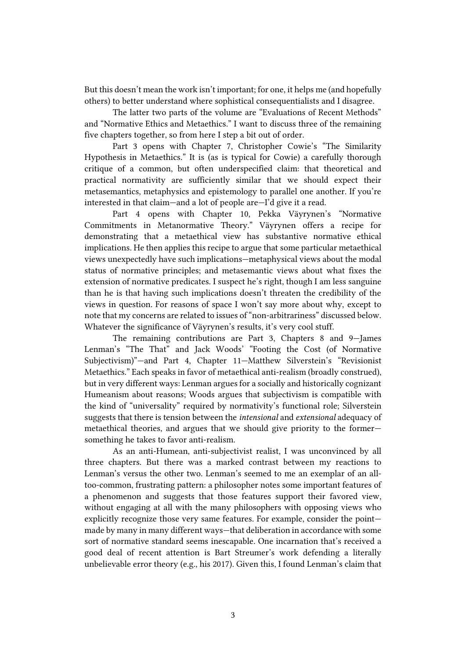But this doesn't mean the work isn't important; for one, it helps me (and hopefully others) to better understand where sophistical consequentialists and I disagree.

The latter two parts of the volume are "Evaluations of Recent Methods" and "Normative Ethics and Metaethics." I want to discuss three of the remaining five chapters together, so from here I step a bit out of order.

Part 3 opens with Chapter 7, Christopher Cowie's "The Similarity Hypothesis in Metaethics." It is (as is typical for Cowie) a carefully thorough critique of a common, but often underspecified claim: that theoretical and practical normativity are sufficiently similar that we should expect their metasemantics, metaphysics and epistemology to parallel one another. If you're interested in that claim—and a lot of people are—I'd give it a read.

Part 4 opens with Chapter 10, Pekka Väyrynen's "Normative Commitments in Metanormative Theory." Väyrynen offers a recipe for demonstrating that a metaethical view has substantive normative ethical implications. He then applies this recipe to argue that some particular metaethical views unexpectedly have such implications—metaphysical views about the modal status of normative principles; and metasemantic views about what fixes the extension of normative predicates. I suspect he's right, though I am less sanguine than he is that having such implications doesn't threaten the credibility of the views in question. For reasons of space I won't say more about why, except to note that my concerns are related to issues of "non-arbitrariness" discussed below. Whatever the significance of Väyrynen's results, it's very cool stuff.

The remaining contributions are Part 3, Chapters 8 and 9—James Lenman's "The That" and Jack Woods' "Footing the Cost (of Normative Subjectivism)"—and Part 4, Chapter 11—Matthew Silverstein's "Revisionist Metaethics." Each speaks in favor of metaethical anti-realism (broadly construed), but in very different ways: Lenman argues for a socially and historically cognizant Humeanism about reasons; Woods argues that subjectivism is compatible with the kind of "universality" required by normativity's functional role; Silverstein suggests that there is tension between the *intensional* and *extensional* adequacy of metaethical theories, and argues that we should give priority to the former something he takes to favor anti-realism.

As an anti-Humean, anti-subjectivist realist, I was unconvinced by all three chapters. But there was a marked contrast between my reactions to Lenman's versus the other two. Lenman's seemed to me an exemplar of an alltoo-common, frustrating pattern: a philosopher notes some important features of a phenomenon and suggests that those features support their favored view, without engaging at all with the many philosophers with opposing views who explicitly recognize those very same features. For example, consider the point made by many in many different ways—that deliberation in accordance with some sort of normative standard seems inescapable. One incarnation that's received a good deal of recent attention is Bart Streumer's work defending a literally unbelievable error theory (e.g., his 2017). Given this, I found Lenman's claim that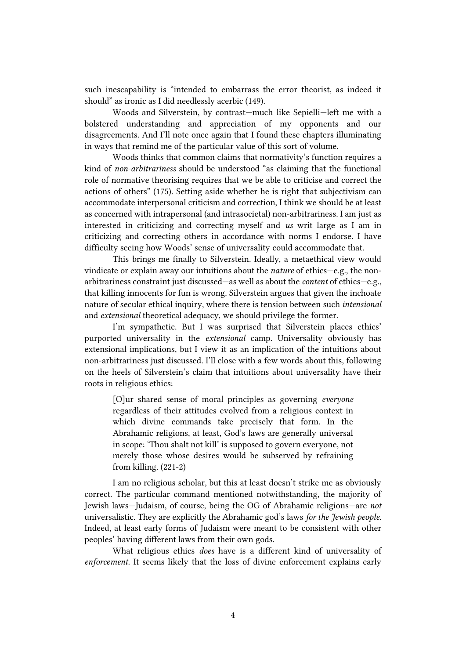such inescapability is "intended to embarrass the error theorist, as indeed it should" as ironic as I did needlessly acerbic (149).

Woods and Silverstein, by contrast—much like Sepielli—left me with a bolstered understanding and appreciation of my opponents and our disagreements. And I'll note once again that I found these chapters illuminating in ways that remind me of the particular value of this sort of volume.

Woods thinks that common claims that normativity's function requires a kind of *non-arbitrariness* should be understood "as claiming that the functional role of normative theorising requires that we be able to criticise and correct the actions of others" (175). Setting aside whether he is right that subjectivism can accommodate interpersonal criticism and correction, I think we should be at least as concerned with intrapersonal (and intrasocietal) non-arbitrariness. I am just as interested in criticizing and correcting myself and *us* writ large as I am in criticizing and correcting others in accordance with norms I endorse. I have difficulty seeing how Woods' sense of universality could accommodate that.

This brings me finally to Silverstein. Ideally, a metaethical view would vindicate or explain away our intuitions about the *nature* of ethics—e.g., the nonarbitrariness constraint just discussed—as well as about the *content* of ethics—e.g., that killing innocents for fun is wrong. Silverstein argues that given the inchoate nature of secular ethical inquiry, where there is tension between such *intensional*  and *extensional* theoretical adequacy, we should privilege the former.

I'm sympathetic. But I was surprised that Silverstein places ethics' purported universality in the *extensional* camp. Universality obviously has extensional implications, but I view it as an implication of the intuitions about non-arbitrariness just discussed. I'll close with a few words about this, following on the heels of Silverstein's claim that intuitions about universality have their roots in religious ethics:

[O]ur shared sense of moral principles as governing *everyone*  regardless of their attitudes evolved from a religious context in which divine commands take precisely that form. In the Abrahamic religions, at least, God's laws are generally universal in scope: 'Thou shalt not kill' is supposed to govern everyone, not merely those whose desires would be subserved by refraining from killing. (221-2)

I am no religious scholar, but this at least doesn't strike me as obviously correct. The particular command mentioned notwithstanding, the majority of Jewish laws—Judaism, of course, being the OG of Abrahamic religions—are *not*  universalistic. They are explicitly the Abrahamic god's laws *for the Jewish people.*  Indeed, at least early forms of Judaism were meant to be consistent with other peoples' having different laws from their own gods.

What religious ethics *does* have is a different kind of universality of *enforcement.* It seems likely that the loss of divine enforcement explains early